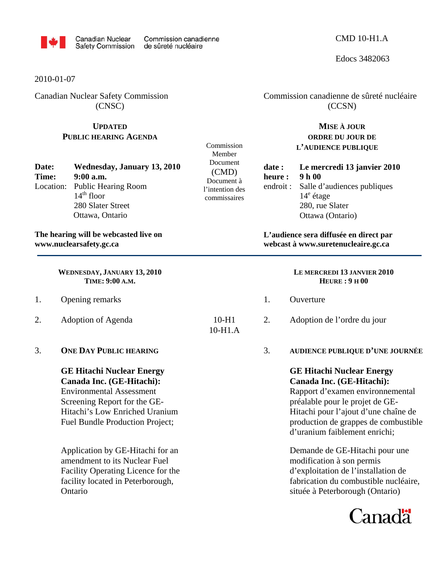

Edocs 3482063

2010-01-07

Canadian Nuclear Safety Commission (CNSC)

## **UPDATED PUBLIC HEARING AGENDA**

| Date: | Wednesday, January 13, 2010   |
|-------|-------------------------------|
| Time: | $9:00$ a.m.                   |
|       | Location: Public Hearing Room |
|       | $14th$ floor                  |
|       | 280 Slater Street             |
|       | Ottawa, Ontario               |

## **The hearing will be webcasted live on www.nuclearsafety.gc.ca**

**WEDNESDAY, JANUARY 13, 2010 TIME: 9:00 A.M.** 

- 1. Opening remarks
- 2. Adoption of Agenda
- 3. **ONE DAY PUBLIC HEARING**

**GE Hitachi Nuclear Energy Canada Inc. (GE-Hitachi):**  Environmental Assessment Screening Report for the GE-Hitachi's Low Enriched Uranium Fuel Bundle Production Project;

Application by GE-Hitachi for an amendment to its Nuclear Fuel Facility Operating Licence for the facility located in Peterborough, Ontario

Commission Member Document (CMD) Document à l'intention des commissaires

10-H1.A

 Commission canadienne de sûreté nucléaire (CCSN)

## **MISE À JOUR ORDRE DU JOUR DE L'AUDIENCE PUBLIQUE**

**date : Le mercredi 13 janvier 2010 heure : 9 h 00**  endroit : Salle d'audiences publiques 14<sup>e</sup> étage 280, rue Slater Ottawa (Ontario)

**L'audience sera diffusée en direct par webcast à www.suretenucleaire.gc.ca**

## **LE MERCREDI 13 JANVIER 2010 HEURE : 9 H 00**

- 1. Ouverture
- 10-H1 2. Adoption de l'ordre du jour
	- 3. **AUDIENCE PUBLIQUE D'UNE JOURNÉE**

**GE Hitachi Nuclear Energy Canada Inc. (GE-Hitachi):** Rapport d'examen environnemental

préalable pour le projet de GE-Hitachi pour l'ajout d'une chaîne de production de grappes de combustible d'uranium faiblement enrichi;

Demande de GE-Hitachi pour une modification à son permis d'exploitation de l'installation de fabrication du combustible nucléaire, située à Peterborough (Ontario)